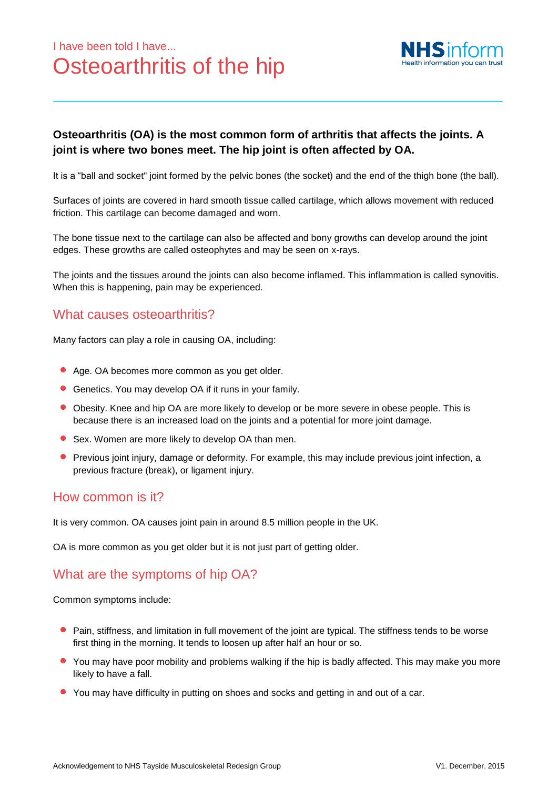# I have been told I have... Osteoarthritis of the hip



#### **Osteoarthritis (OA) is the most common form of arthritis that affects the joints. A joint is where two bones meet. The hip joint is often affected by OA.**

It is a "ball and socket" joint formed by the pelvic bones (the socket) and the end of the thigh bone (the ball).

Surfaces of joints are covered in hard smooth tissue called cartilage, which allows movement with reduced friction. This cartilage can become damaged and worn.

The bone tissue next to the cartilage can also be affected and bony growths can develop around the joint edges. These growths are called osteophytes and may be seen on x-rays.

The joints and the tissues around the joints can also become inflamed. This inflammation is called synovitis. When this is happening, pain may be experienced.

### What causes osteoarthritis?

Many factors can play a role in causing OA, including:

- Age. OA becomes more common as you get older.
- Genetics. You may develop OA if it runs in your family.
- Obesity. Knee and hip OA are more likely to develop or be more severe in obese people. This is because there is an increased load on the joints and a potential for more joint damage.
- Sex. Women are more likely to develop OA than men.
- Previous joint injury, damage or deformity. For example, this may include previous joint infection, a previous fracture (break), or ligament injury.

#### How common is it?

It is very common. OA causes joint pain in around 8.5 million people in the UK.

OA is more common as you get older but it is not just part of getting older.

## What are the symptoms of hip OA?

Common symptoms include:

- Pain, stiffness, and limitation in full movement of the joint are typical. The stiffness tends to be worse first thing in the morning. It tends to loosen up after half an hour or so.
- You may have poor mobility and problems walking if the hip is badly affected. This may make you more likely to have a fall.
- You may have difficulty in putting on shoes and socks and getting in and out of a car.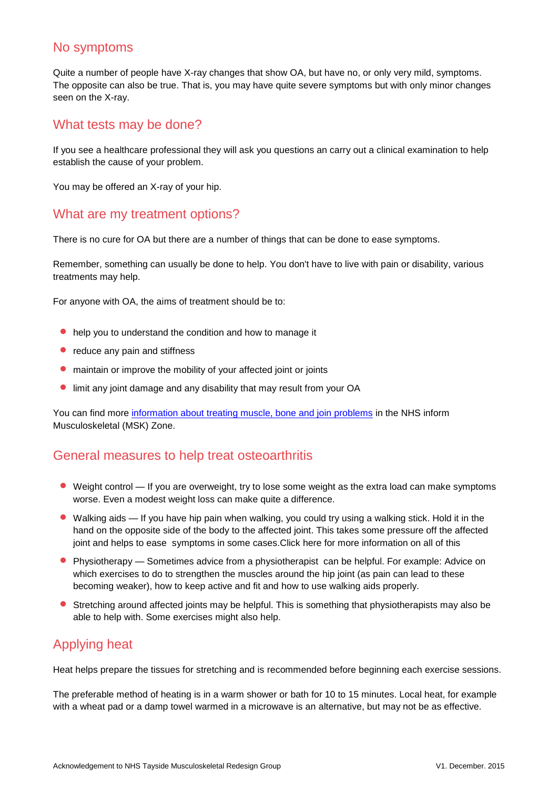#### No symptoms

Quite a number of people have X-ray changes that show OA, but have no, or only very mild, symptoms. The opposite can also be true. That is, you may have quite severe symptoms but with only minor changes seen on the X-ray.

#### What tests may be done?

If you see a healthcare professional they will ask you questions an carry out a clinical examination to help establish the cause of your problem.

You may be offered an X-ray of your hip.

#### What are my treatment options?

There is no cure for OA but there are a number of things that can be done to ease symptoms.

Remember, something can usually be done to help. You don't have to live with pain or disability, various treatments may help.

For anyone with OA, the aims of treatment should be to:

- help you to understand the condition and how to manage it
- reduce any pain and stiffness
- maintain or improve the mobility of your affected joint or joints
- limit any joint damage and any disability that may result from your OA

You can find more information [about treating muscle, bone and join problems](http://www.nhsinform.co.uk/MSK/treatment) in the NHS inform Musculoskeletal (MSK) Zone.

### General measures to help treat osteoarthritis

- Weight control If you are overweight, try to lose some weight as the extra load can make symptoms worse. Even a modest weight loss can make quite a difference.
- Walking aids If you have hip pain when walking, you could try using a walking stick. Hold it in the hand on the opposite side of the body to the affected joint. This takes some pressure off the affected joint and helps to ease symptoms in some cases[.Click here](http://www.nhsinform.co.uk/MSK/treatment) for more information on all of this
- **•** Physiotherapy Sometimes advice from a physiotherapist can be helpful. For example: Advice on which exercises to do to strengthen the muscles around the hip joint (as pain can lead to these becoming weaker), how to keep active and fit and how to use walking aids properly.
- Stretching around affected joints may be helpful. This is something that physiotherapists may also be able to help with. Some exercises might also help.

## Applying heat

Heat helps prepare the tissues for stretching and is recommended before beginning each exercise sessions.

The preferable method of heating is in a warm shower or bath for 10 to 15 minutes. Local heat, for example with a wheat pad or a damp towel warmed in a microwave is an alternative, but may not be as effective.